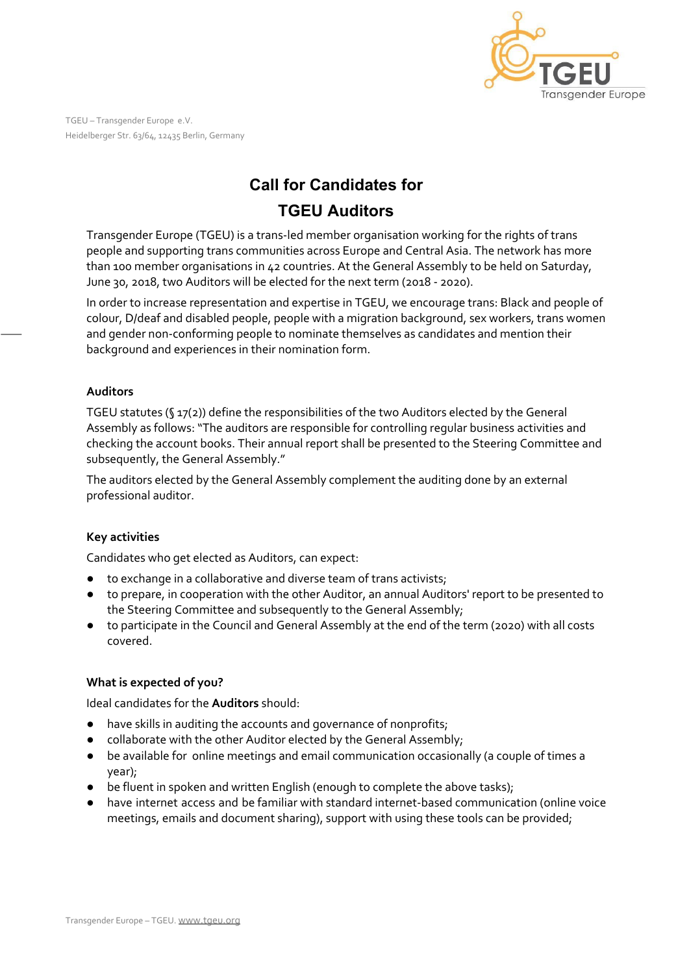

TGEU – Transgender Europe e.V. Heidelberger Str. 63/64, 12435 Berlin, Germany

# **Call for Candidates for TGEU Auditors**

Transgender Europe (TGEU) is a trans-led member organisation working for the rights of trans people and supporting trans communities across Europe and Central Asia. The network has more than 100 member organisations in 42 countries. At the General Assembly to be held on Saturday, June 30, 2018, two Auditors will be elected for the next term (2018 - 2020).

In order to increase representation and expertise in TGEU, we encourage trans: Black and people of colour, D/deaf and disabled people, people with a migration background, sex workers, trans women and gender non-conforming people to nominate themselves as candidates and mention their background and experiences in their nomination form.

#### **Auditors**

TGEU statutes (§ 17(2)) define the responsibilities of the two Auditors elected by the General Assembly as follows: "The auditors are responsible for controlling regular business activities and checking the account books. Their annual report shall be presented to the Steering Committee and subsequently, the General Assembly."

The auditors elected by the General Assembly complement the auditing done by an external professional auditor.

## **Key activities**

Candidates who get elected as Auditors, can expect:

- to exchange in a collaborative and diverse team of trans activists;
- to prepare, in cooperation with the other Auditor, an annual Auditors' report to be presented to the Steering Committee and subsequently to the General Assembly;
- to participate in the Council and General Assembly at the end of the term (2020) with all costs covered.

## **What is expected of you?**

Ideal candidates for the **Auditors** should:

- have skills in auditing the accounts and governance of nonprofits;
- collaborate with the other Auditor elected by the General Assembly;
- be available for online meetings and email communication occasionally (a couple of times a year);
- be fluent in spoken and written English (enough to complete the above tasks);
- have internet access and be familiar with standard internet-based communication (online voice meetings, emails and document sharing), support with using these tools can be provided;